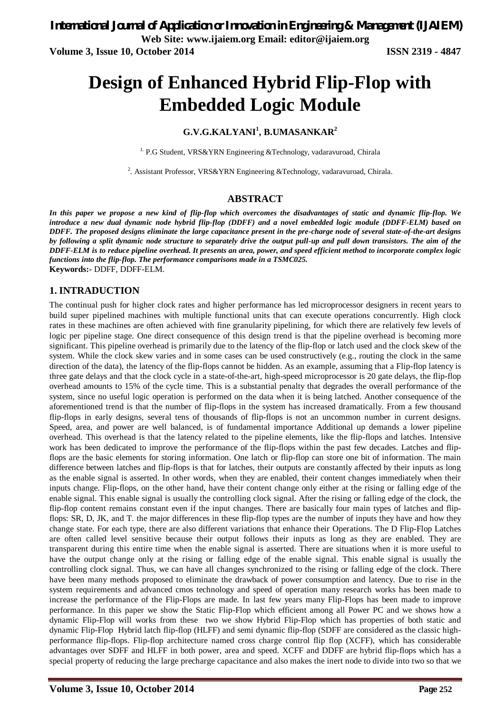**Volume 3, Issue 10, October 2014 ISSN 2319 - 4847**

# **Design of Enhanced Hybrid Flip-Flop with Embedded Logic Module**

# **G.V.G.KALYANI<sup>1</sup> , B.UMASANKAR<sup>2</sup>**

<sup>1.</sup> P.G Student, VRS&YRN Engineering &Technology, vadaravuroad, Chirala

2 *.* Assistant Professor, VRS&YRN Engineering &Technology, vadaravuroad, Chirala.

# **ABSTRACT**

*In this paper we propose a new kind of flip-flop which overcomes the disadvantages of static and dynamic flip-flop. We introduce a new dual dynamic node hybrid flip-flop (DDFF) and a novel embedded logic module (DDFF-ELM) based on DDFF. The proposed designs eliminate the large capacitance present in the pre-charge node of several state-of-the-art designs by following a split dynamic node structure to separately drive the output pull-up and pull down transistors. The aim of the DDFF-ELM is to reduce pipeline overhead. It presents an area, power, and speed efficient method to incorporate complex logic functions into the flip-flop. The performance comparisons made in a TSMC025.* **Keywords:-** DDFF, DDFF-ELM.

# **1. INTRADUCTION**

The continual push for higher clock rates and higher performance has led microprocessor designers in recent years to build super pipelined machines with multiple functional units that can execute operations concurrently. High clock rates in these machines are often achieved with fine granularity pipelining, for which there are relatively few levels of logic per pipeline stage. One direct consequence of this design trend is that the pipeline overhead is becoming more significant. This pipeline overhead is primarily due to the latency of the flip-flop or latch used and the clock skew of the system. While the clock skew varies and in some cases can be used constructively (e.g., routing the clock in the same direction of the data), the latency of the flip-flops cannot be hidden. As an example, assuming that a Flip-flop latency is three gate delays and that the clock cycle in a state-of-the-art, high-speed microprocessor is 20 gate delays, the flip-flop overhead amounts to 15% of the cycle time. This is a substantial penalty that degrades the overall performance of the system, since no useful logic operation is performed on the data when it is being latched. Another consequence of the aforementioned trend is that the number of flip-flops in the system has increased dramatically. From a few thousand flip-flops in early designs, several tens of thousands of flip-flops is not an uncommon number in current designs. Speed, area, and power are well balanced, is of fundamental importance Additional up demands a lower pipeline overhead. This overhead is that the latency related to the pipeline elements, like the flip-flops and latches. Intensive work has been dedicated to improve the performance of the flip-flops within the past few decades. Latches and flipflops are the basic elements for storing information. One latch or flip-flop can store one bit of information. The main difference between latches and flip-flops is that for latches, their outputs are constantly affected by their inputs as long as the enable signal is asserted. In other words, when they are enabled, their content changes immediately when their inputs change. Flip-flops, on the other hand, have their content change only either at the rising or falling edge of the enable signal. This enable signal is usually the controlling clock signal. After the rising or falling edge of the clock, the flip-flop content remains constant even if the input changes. There are basically four main types of latches and flipflops: SR, D, JK, and T. the major differences in these flip-flop types are the number of inputs they have and how they change state. For each type, there are also different variations that enhance their Operations. The D Flip-Flop Latches are often called level sensitive because their output follows their inputs as long as they are enabled. They are transparent during this entire time when the enable signal is asserted. There are situations when it is more useful to have the output change only at the rising or falling edge of the enable signal. This enable signal is usually the controlling clock signal. Thus, we can have all changes synchronized to the rising or falling edge of the clock. There have been many methods proposed to eliminate the drawback of power consumption and latency. Due to rise in the system requirements and advanced cmos technology and speed of operation many research works has been made to increase the performance of the Flip-Flops are made. In last few years many Flip-Flops has been made to improve performance. In this paper we show the Static Flip-Flop which efficient among all Power PC and we shows how a dynamic Flip-Flop will works from these two we show Hybrid Flip-Flop which has properties of both static and dynamic Flip-Flop Hybrid latch flip-flop (HLFF) and semi dynamic flip-flop (SDFF are considered as the classic highperformance flip-flops. Flip-flop architecture named cross charge control flip flop (XCFF), which has considerable advantages over SDFF and HLFF in both power, area and speed. XCFF and DDFF are hybrid flip-flops which has a special property of reducing the large precharge capacitance and also makes the inert node to divide into two so that we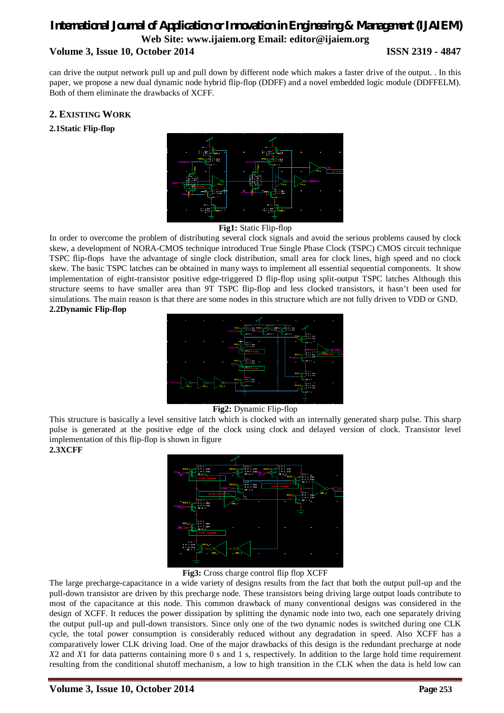can drive the output network pull up and pull down by different node which makes a faster drive of the output. . In this paper, we propose a new dual dynamic node hybrid flip-flop (DDFF) and a novel embedded logic module (DDFFELM). Both of them eliminate the drawbacks of XCFF.

## **2. EXISTING WORK**

**2.1Static Flip-flop**



**Fig1:** Static Flip-flop

In order to overcome the problem of distributing several clock signals and avoid the serious problems caused by clock skew, a development of NORA-CMOS technique introduced True Single Phase Clock (TSPC) CMOS circuit technique TSPC flip-flops have the advantage of single clock distribution, small area for clock lines, high speed and no clock skew. The basic TSPC latches can be obtained in many ways to implement all essential sequential components. It show implementation of eight-transistor positive edge-triggered D flip-flop using split-output TSPC latches Although this structure seems to have smaller area than 9T TSPC flip-flop and less clocked transistors, it hasn't been used for simulations. The main reason is that there are some nodes in this structure which are not fully driven to VDD or GND. **2.2Dynamic Flip-flop**



#### **Fig2:** Dynamic Flip-flop

This structure is basically a level sensitive latch which is clocked with an internally generated sharp pulse. This sharp pulse is generated at the positive edge of the clock using clock and delayed version of clock. Transistor level implementation of this flip-flop is shown in figure **2.3XCFF**



#### **Fig3:** Cross charge control flip flop XCFF

The large precharge-capacitance in a wide variety of designs results from the fact that both the output pull-up and the pull-down transistor are driven by this precharge node. These transistors being driving large output loads contribute to most of the capacitance at this node. This common drawback of many conventional designs was considered in the design of XCFF. It reduces the power dissipation by splitting the dynamic node into two, each one separately driving the output pull-up and pull-down transistors. Since only one of the two dynamic nodes is switched during one CLK cycle, the total power consumption is considerably reduced without any degradation in speed. Also XCFF has a comparatively lower CLK driving load. One of the major drawbacks of this design is the redundant precharge at node *X*2 and *X*1 for data patterns containing more 0 s and 1 s, respectively. In addition to the large hold time requirement resulting from the conditional shutoff mechanism, a low to high transition in the CLK when the data is held low can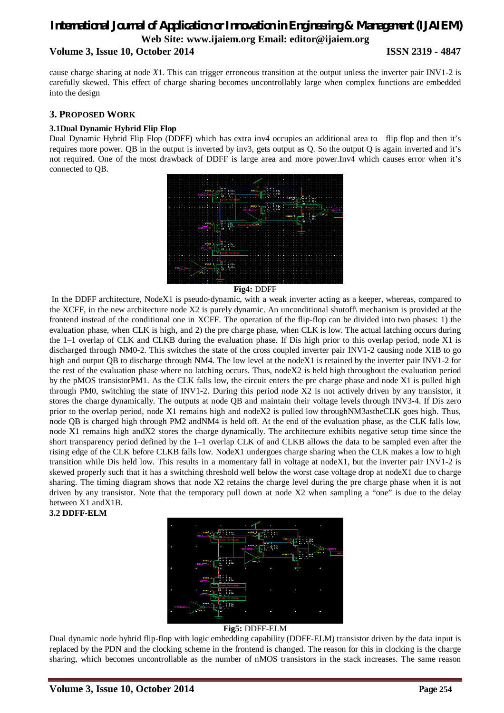cause charge sharing at node *X*1. This can trigger erroneous transition at the output unless the inverter pair INV1-2 is carefully skewed. This effect of charge sharing becomes uncontrollably large when complex functions are embedded into the design

### **3. PROPOSED WORK**

#### **3.1Dual Dynamic Hybrid Flip Flop**

Dual Dynamic Hybrid Flip Flop (DDFF) which has extra inv4 occupies an additional area to flip flop and then it's requires more power. QB in the output is inverted by inv3, gets output as Q. So the output Q is again inverted and it's not required. One of the most drawback of DDFF is large area and more power.Inv4 which causes error when it's connected to QB.



**Fig4:** DDFF

In the DDFF architecture, NodeX1 is pseudo-dynamic, with a weak inverter acting as a keeper, whereas, compared to the XCFF, in the new architecture node X2 is purely dynamic. An unconditional shutoff\ mechanism is provided at the frontend instead of the conditional one in XCFF. The operation of the flip-flop can be divided into two phases: 1) the evaluation phase, when CLK is high, and 2) the pre charge phase, when CLK is low. The actual latching occurs during the 1–1 overlap of CLK and CLKB during the evaluation phase. If Dis high prior to this overlap period, node X1 is discharged through NM0-2. This switches the state of the cross coupled inverter pair INV1-2 causing node X1B to go high and output QB to discharge through NM4. The low level at the nodeX1 is retained by the inverter pair INV1-2 for the rest of the evaluation phase where no latching occurs. Thus, nodeX2 is held high throughout the evaluation period by the pMOS transistorPM1. As the CLK falls low, the circuit enters the pre charge phase and node X1 is pulled high through PM0, switching the state of INV1-2. During this period node X2 is not actively driven by any transistor, it stores the charge dynamically. The outputs at node QB and maintain their voltage levels through INV3-4. If Dis zero prior to the overlap period, node X1 remains high and nodeX2 is pulled low throughNM3astheCLK goes high. Thus, node QB is charged high through PM2 andNM4 is held off. At the end of the evaluation phase, as the CLK falls low, node X1 remains high andX2 stores the charge dynamically. The architecture exhibits negative setup time since the short transparency period defined by the 1–1 overlap CLK of and CLKB allows the data to be sampled even after the rising edge of the CLK before CLKB falls low. NodeX1 undergoes charge sharing when the CLK makes a low to high transition while Dis held low. This results in a momentary fall in voltage at nodeX1, but the inverter pair INV1-2 is skewed properly such that it has a switching threshold well below the worst case voltage drop at nodeX1 due to charge sharing. The timing diagram shows that node X2 retains the charge level during the pre charge phase when it is not driven by any transistor. Note that the temporary pull down at node X2 when sampling a "one" is due to the delay between X1 andX1B.

#### **3.2 DDFF-ELM**



#### **Fig5:** DDFF-ELM

Dual dynamic node hybrid flip-flop with logic embedding capability (DDFF-ELM) transistor driven by the data input is replaced by the PDN and the clocking scheme in the frontend is changed. The reason for this in clocking is the charge sharing, which becomes uncontrollable as the number of nMOS transistors in the stack increases. The same reason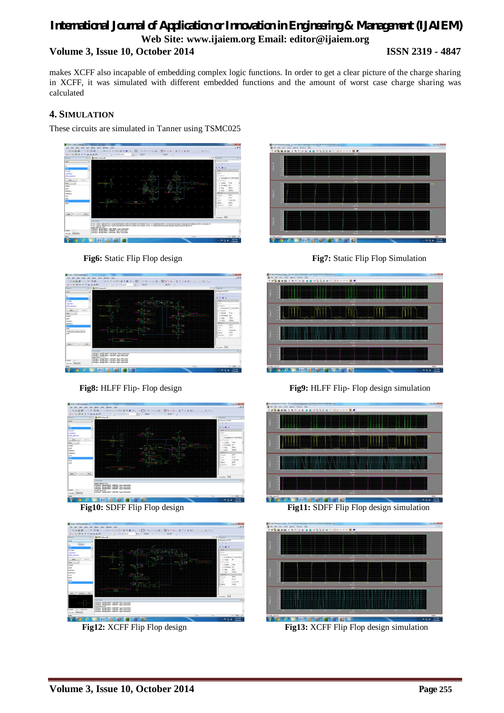makes XCFF also incapable of embedding complex logic functions. In order to get a clear picture of the charge sharing in XCFF, it was simulated with different embedded functions and the amount of worst case charge sharing was calculated

# **4. SIMULATION**

These circuits are simulated in Tanner using TSMC025



O Fis Life War Case Option Weder Paper 1999 <u>alaisia di</u>











**Fig8:** HLFF Flip- Flop design **Fig9:** HLFF Flip- Flop design simulation



**Fig10:** SDFF Flip Flop design **Fig11:** SDFF Flip Flop design simulation



**Fig12:** XCFF Flip Flop design **Fig13:** XCFF Flip Flop design simulation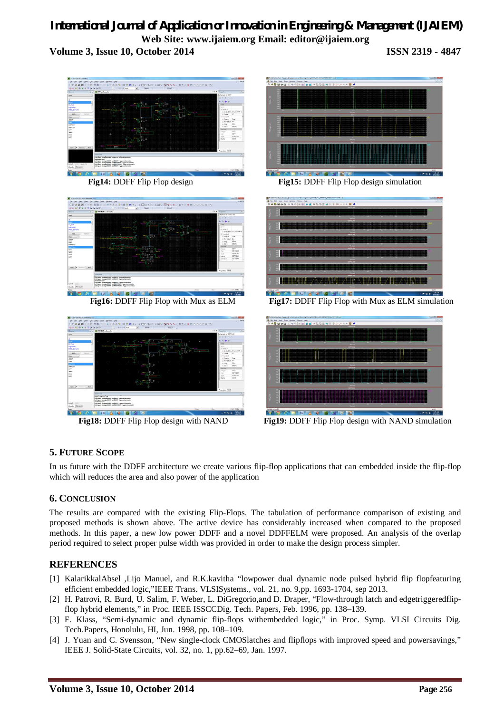

# **5. FUTURE SCOPE**

In us future with the DDFF architecture we create various flip-flop applications that can embedded inside the flip-flop which will reduces the area and also power of the application

# **6. CONCLUSION**

The results are compared with the existing Flip-Flops. The tabulation of performance comparison of existing and proposed methods is shown above. The active device has considerably increased when compared to the proposed methods. In this paper, a new low power DDFF and a novel DDFFELM were proposed. An analysis of the overlap period required to select proper pulse width was provided in order to make the design process simpler.

### **REFERENCES**

- [1] KalarikkalAbsel ,Lijo Manuel, and R.K.kavitha "lowpower dual dynamic node pulsed hybrid flip flopfeaturing efficient embedded logic,"IEEE Trans. VLSISystems., vol. 21, no. 9,pp. 1693-1704, sep 2013.
- [2] H. Patrovi, R. Burd, U. Salim, F. Weber, L. DiGregorio,and D. Draper, "Flow-through latch and edgetriggeredflipflop hybrid elements," in Proc. IEEE ISSCCDig. Tech. Papers, Feb. 1996, pp. 138–139.
- [3] F. Klass, "Semi-dynamic and dynamic flip-flops withembedded logic," in Proc. Symp. VLSI Circuits Dig. Tech.Papers, Honolulu, HI, Jun. 1998, pp. 108–109.
- [4] J. Yuan and C. Svensson, "New single-clock CMOSlatches and flipflops with improved speed and powersavings," IEEE J. Solid-State Circuits, vol. 32, no. 1, pp.62–69, Jan. 1997.